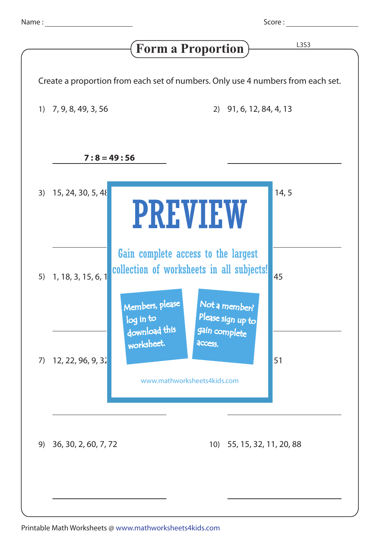Score : <u>\_\_\_\_\_\_\_\_</u>